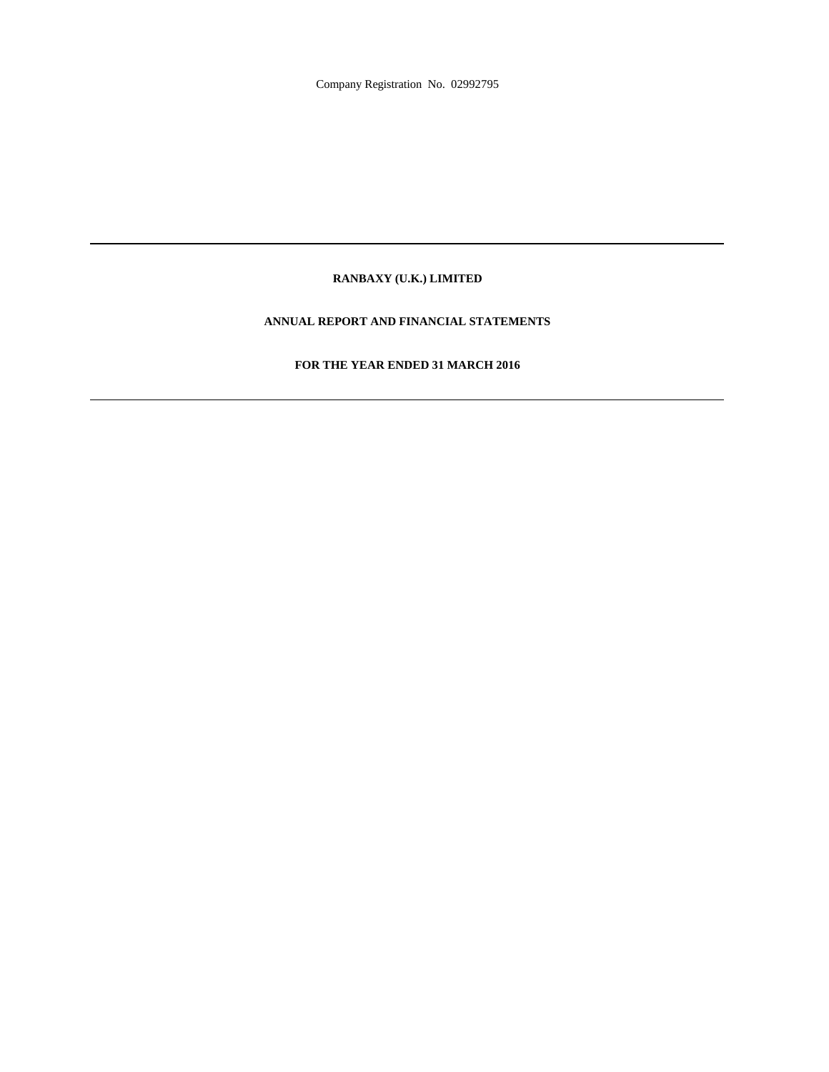Company Registration No. 02992795

# **RANBAXY (U.K.) LIMITED**

# **ANNUAL REPORT AND FINANCIAL STATEMENTS**

# **FOR THE YEAR ENDED 31 MARCH 2016**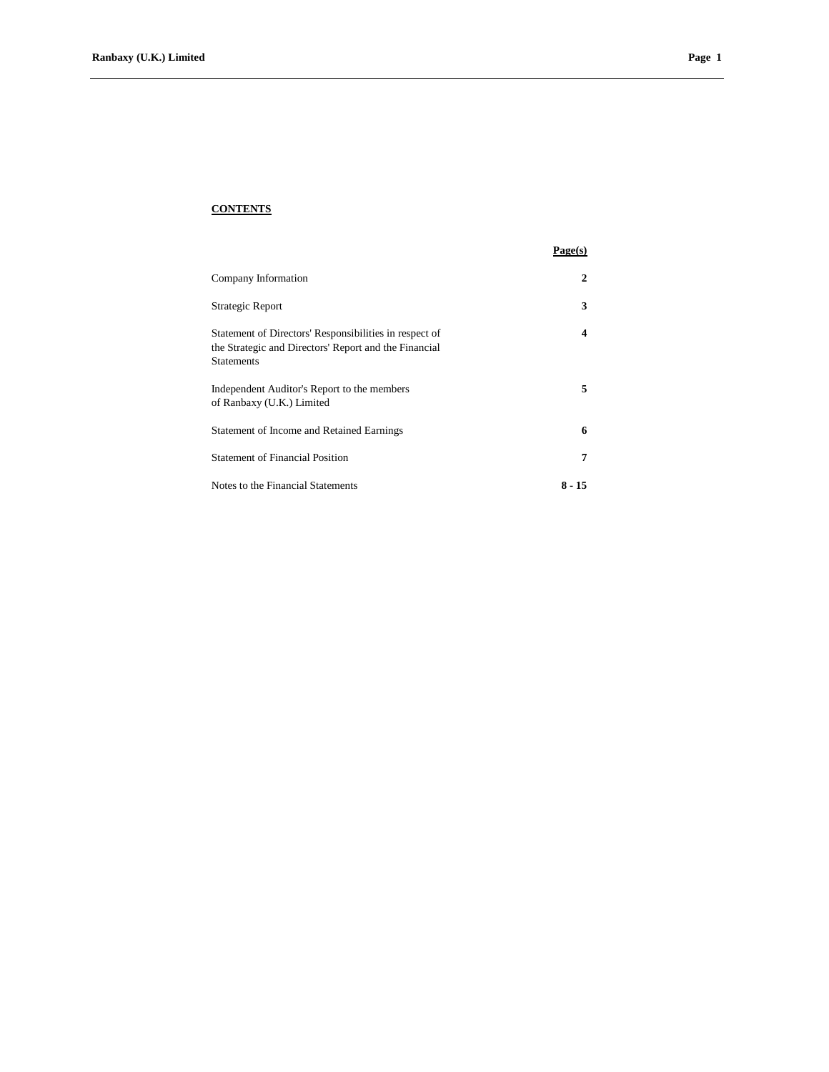# **CONTENTS**

|                                                                                                                                      | Page(s)  |
|--------------------------------------------------------------------------------------------------------------------------------------|----------|
| Company Information                                                                                                                  | 2        |
| Strategic Report                                                                                                                     | 3        |
| Statement of Directors' Responsibilities in respect of<br>the Strategic and Directors' Report and the Financial<br><b>Statements</b> | 4        |
| Independent Auditor's Report to the members<br>of Ranbaxy (U.K.) Limited                                                             | 5        |
| Statement of Income and Retained Earnings                                                                                            | 6        |
| <b>Statement of Financial Position</b>                                                                                               | 7        |
| Notes to the Financial Statements                                                                                                    | $8 - 15$ |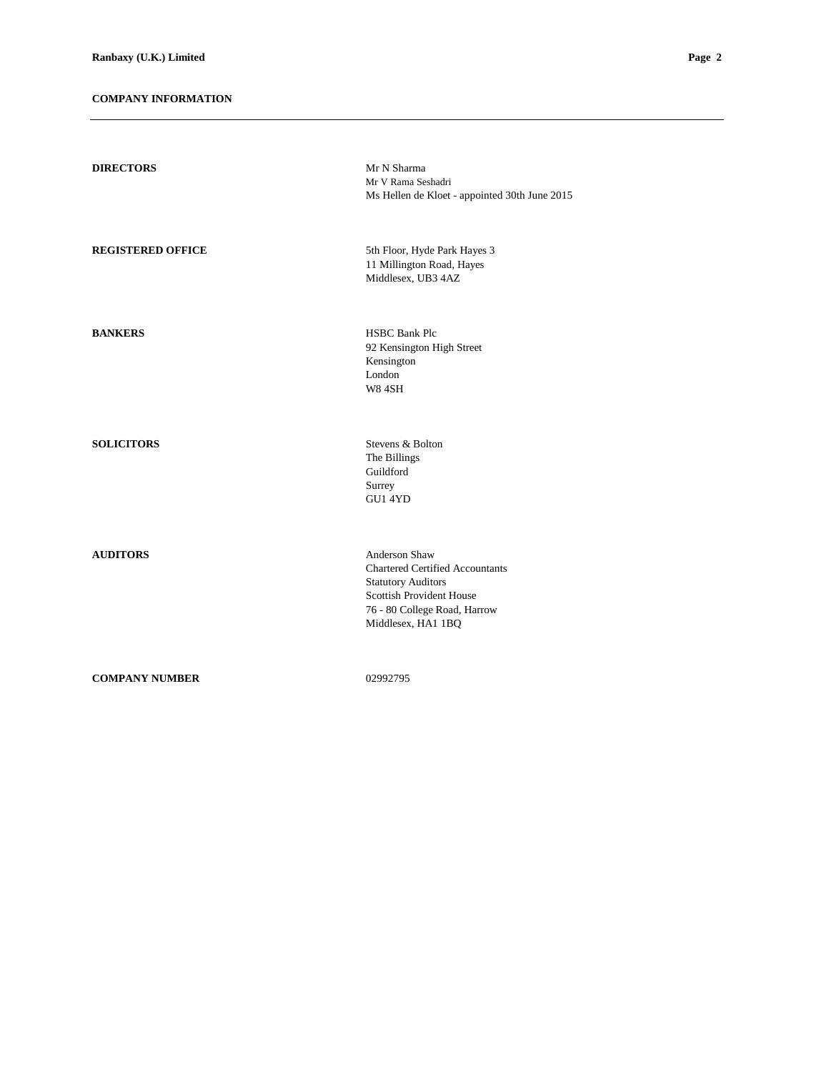# **COMPANY INFORMATION**

| <b>DIRECTORS</b>         | Mr N Sharma<br>Mr V Rama Seshadri                                                                                                                                      |
|--------------------------|------------------------------------------------------------------------------------------------------------------------------------------------------------------------|
|                          | Ms Hellen de Kloet - appointed 30th June 2015                                                                                                                          |
| <b>REGISTERED OFFICE</b> | 5th Floor, Hyde Park Hayes 3<br>11 Millington Road, Hayes<br>Middlesex, UB3 4AZ                                                                                        |
| <b>BANKERS</b>           | <b>HSBC Bank Plc</b><br>92 Kensington High Street<br>Kensington<br>London<br><b>W8 4SH</b>                                                                             |
| <b>SOLICITORS</b>        | Stevens & Bolton<br>The Billings<br>Guildford<br>Surrey<br>GU1 4YD                                                                                                     |
| <b>AUDITORS</b>          | Anderson Shaw<br><b>Chartered Certified Accountants</b><br><b>Statutory Auditors</b><br>Scottish Provident House<br>76 - 80 College Road, Harrow<br>Middlesex, HA1 1BQ |

**COMPANY NUMBER** 02992795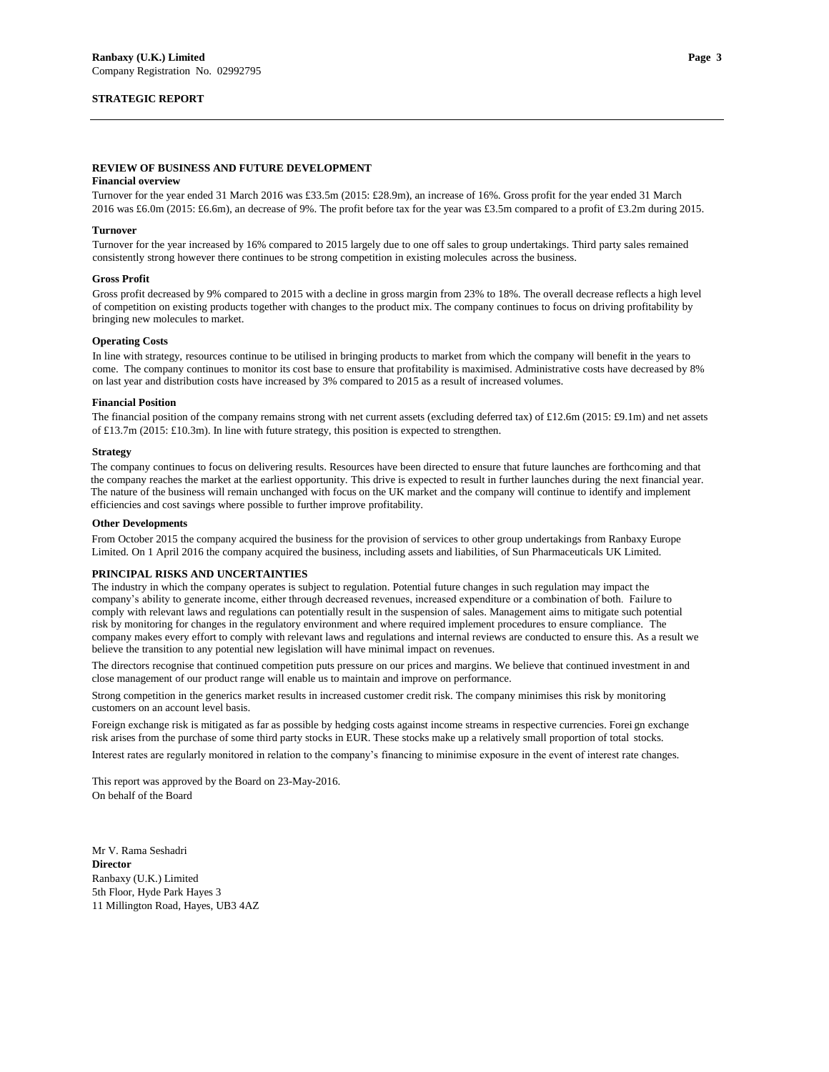# **STRATEGIC REPORT**

# **REVIEW OF BUSINESS AND FUTURE DEVELOPMENT**

### **Financial overview**

Turnover for the year ended 31 March 2016 was £33.5m (2015: £28.9m), an increase of 16%. Gross profit for the year ended 31 March 2016 was £6.0m (2015: £6.6m), an decrease of 9%. The profit before tax for the year was £3.5m compared to a profit of £3.2m during 2015.

#### **Turnover**

Turnover for the year increased by 16% compared to 2015 largely due to one off sales to group undertakings. Third party sales remained consistently strong however there continues to be strong competition in existing molecules across the business.

#### **Gross Profit**

Gross profit decreased by 9% compared to 2015 with a decline in gross margin from 23% to 18%. The overall decrease reflects a high level of competition on existing products together with changes to the product mix. The company continues to focus on driving profitability by bringing new molecules to market.

## **Operating Costs**

In line with strategy, resources continue to be utilised in bringing products to market from which the company will benefit in the years to come. The company continues to monitor its cost base to ensure that profitability is maximised. Administrative costs have decreased by 8% on last year and distribution costs have increased by 3% compared to 2015 as a result of increased volumes.

#### **Financial Position**

The financial position of the company remains strong with net current assets (excluding deferred tax) of £12.6m (2015: £9.1m) and net assets of £13.7m (2015: £10.3m). In line with future strategy, this position is expected to strengthen.

#### **Strategy**

The company continues to focus on delivering results. Resources have been directed to ensure that future launches are forthcoming and that the company reaches the market at the earliest opportunity. This drive is expected to result in further launches during the next financial year. The nature of the business will remain unchanged with focus on the UK market and the company will continue to identify and implement efficiencies and cost savings where possible to further improve profitability.

#### **Other Developments**

From October 2015 the company acquired the business for the provision of services to other group undertakings from Ranbaxy Europe Limited. On 1 April 2016 the company acquired the business, including assets and liabilities, of Sun Pharmaceuticals UK Limited.

### **PRINCIPAL RISKS AND UNCERTAINTIES**

The industry in which the company operates is subject to regulation. Potential future changes in such regulation may impact the company's ability to generate income, either through decreased revenues, increased expenditure or a combination of both. Failure to comply with relevant laws and regulations can potentially result in the suspension of sales. Management aims to mitigate such potential risk by monitoring for changes in the regulatory environment and where required implement procedures to ensure compliance. The company makes every effort to comply with relevant laws and regulations and internal reviews are conducted to ensure this. As a result we believe the transition to any potential new legislation will have minimal impact on revenues.

The directors recognise that continued competition puts pressure on our prices and margins. We believe that continued investment in and close management of our product range will enable us to maintain and improve on performance.

Strong competition in the generics market results in increased customer credit risk. The company minimises this risk by monitoring customers on an account level basis.

Foreign exchange risk is mitigated as far as possible by hedging costs against income streams in respective currencies. Forei gn exchange risk arises from the purchase of some third party stocks in EUR. These stocks make up a relatively small proportion of total stocks.

Interest rates are regularly monitored in relation to the company's financing to minimise exposure in the event of interest rate changes.

This report was approved by the Board on 23-May-2016. On behalf of the Board

Mr V. Rama Seshadri **Director** Ranbaxy (U.K.) Limited 5th Floor, Hyde Park Hayes 3 11 Millington Road, Hayes, UB3 4AZ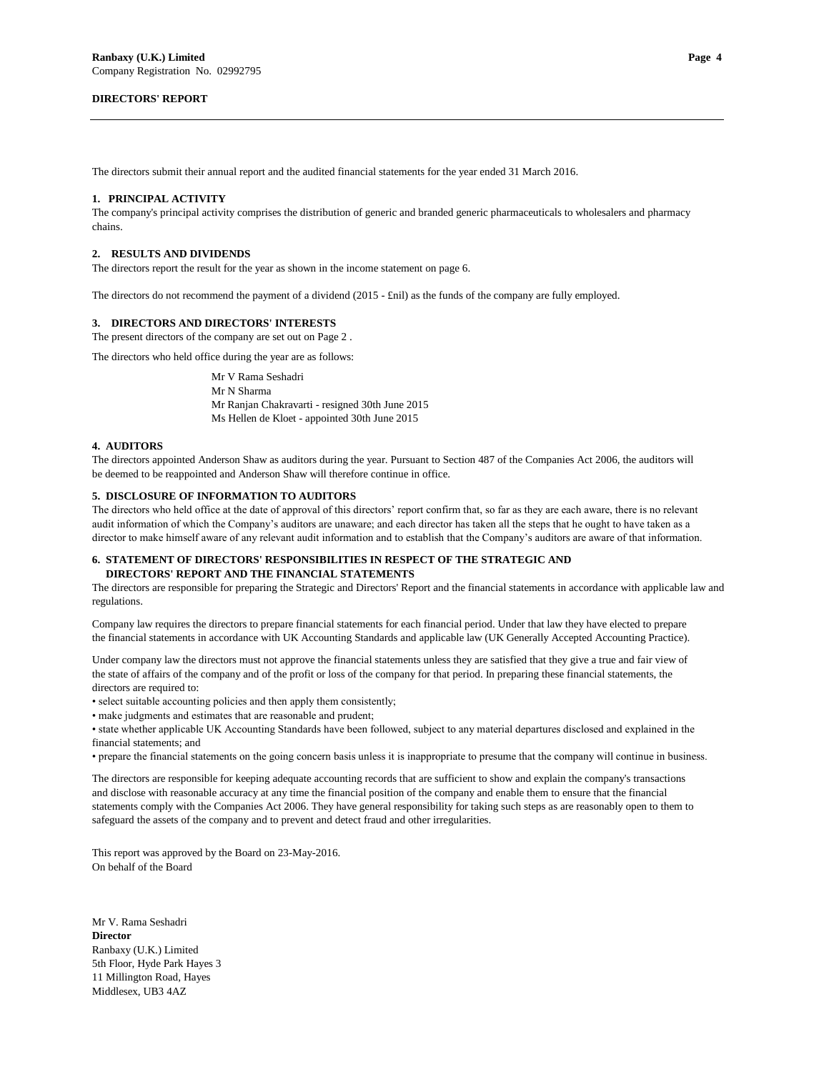# **DIRECTORS' REPORT**

The directors submit their annual report and the audited financial statements for the year ended 31 March 2016.

# **1. PRINCIPAL ACTIVITY**

The company's principal activity comprises the distribution of generic and branded generic pharmaceuticals to wholesalers and pharmacy chains.

# **2. RESULTS AND DIVIDENDS**

The directors report the result for the year as shown in the income statement on page 6.

The directors do not recommend the payment of a dividend (2015 - £nil) as the funds of the company are fully employed.

#### **3. DIRECTORS AND DIRECTORS' INTERESTS**

The present directors of the company are set out on Page 2 .

The directors who held office during the year are as follows:

Mr V Rama Seshadri Mr N Sharma Mr Ranjan Chakravarti - resigned 30th June 2015 Ms Hellen de Kloet - appointed 30th June 2015

# **4. AUDITORS**

The directors appointed Anderson Shaw as auditors during the year. Pursuant to Section 487 of the Companies Act 2006, the auditors will be deemed to be reappointed and Anderson Shaw will therefore continue in office.

#### **5. DISCLOSURE OF INFORMATION TO AUDITORS**

The directors who held office at the date of approval of this directors' report confirm that, so far as they are each aware, there is no relevant audit information of which the Company's auditors are unaware; and each director has taken all the steps that he ought to have taken as a director to make himself aware of any relevant audit information and to establish that the Company's auditors are aware of that information.

# **6. STATEMENT OF DIRECTORS' RESPONSIBILITIES IN RESPECT OF THE STRATEGIC AND DIRECTORS' REPORT AND THE FINANCIAL STATEMENTS**

The directors are responsible for preparing the Strategic and Directors' Report and the financial statements in accordance with applicable law and regulations.

Company law requires the directors to prepare financial statements for each financial period. Under that law they have elected to prepare the financial statements in accordance with UK Accounting Standards and applicable law (UK Generally Accepted Accounting Practice).

Under company law the directors must not approve the financial statements unless they are satisfied that they give a true and fair view of the state of affairs of the company and of the profit or loss of the company for that period. In preparing these financial statements, the directors are required to:

• select suitable accounting policies and then apply them consistently;

• make judgments and estimates that are reasonable and prudent;

• state whether applicable UK Accounting Standards have been followed, subject to any material departures disclosed and explained in the financial statements; and

• prepare the financial statements on the going concern basis unless it is inappropriate to presume that the company will continue in business.

The directors are responsible for keeping adequate accounting records that are sufficient to show and explain the company's transactions and disclose with reasonable accuracy at any time the financial position of the company and enable them to ensure that the financial statements comply with the Companies Act 2006. They have general responsibility for taking such steps as are reasonably open to them to safeguard the assets of the company and to prevent and detect fraud and other irregularities.

This report was approved by the Board on 23-May-2016. On behalf of the Board

Mr V. Rama Seshadri **Director** Ranbaxy (U.K.) Limited 5th Floor, Hyde Park Hayes 3 11 Millington Road, Hayes Middlesex, UB3 4AZ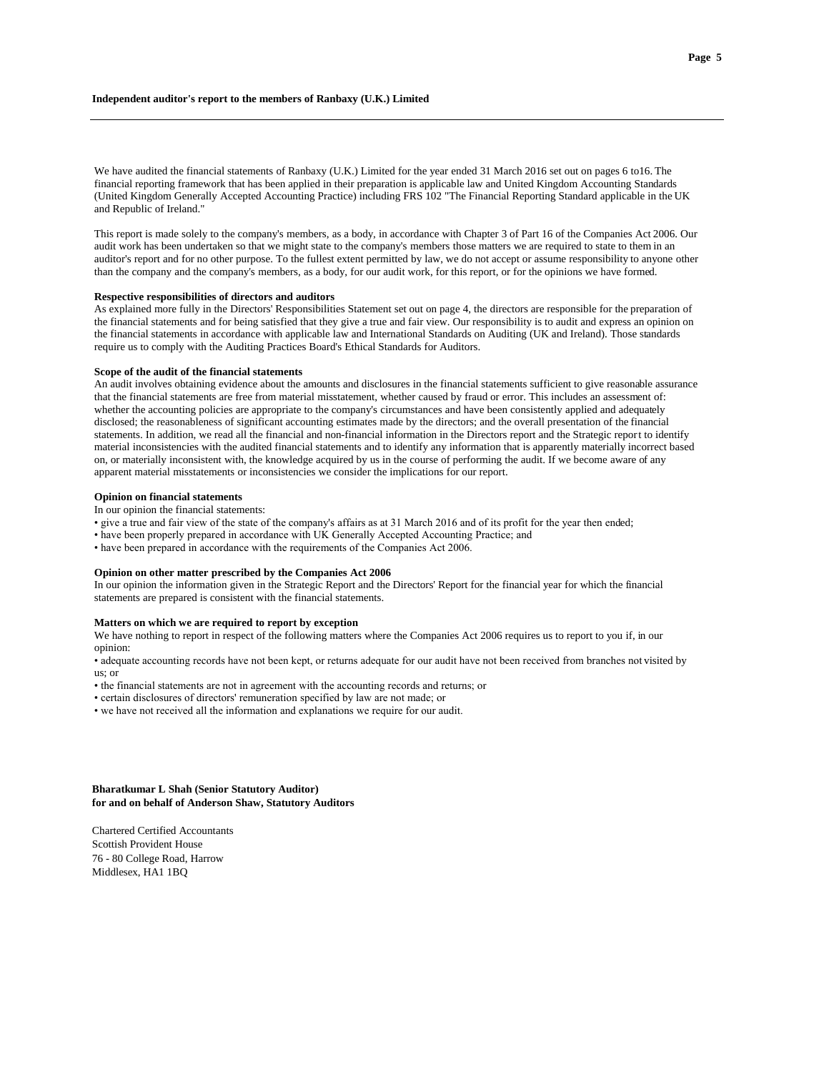#### **Independent auditor's report to the members of Ranbaxy (U.K.) Limited**

We have audited the financial statements of Ranbaxy (U.K.) Limited for the year ended 31 March 2016 set out on pages 6 to16. The financial reporting framework that has been applied in their preparation is applicable law and United Kingdom Accounting Standards (United Kingdom Generally Accepted Accounting Practice) including FRS 102 "The Financial Reporting Standard applicable in the UK and Republic of Ireland."

This report is made solely to the company's members, as a body, in accordance with Chapter 3 of Part 16 of the Companies Act 2006. Our audit work has been undertaken so that we might state to the company's members those matters we are required to state to them in an auditor's report and for no other purpose. To the fullest extent permitted by law, we do not accept or assume responsibility to anyone other than the company and the company's members, as a body, for our audit work, for this report, or for the opinions we have formed.

#### **Respective responsibilities of directors and auditors**

As explained more fully in the Directors' Responsibilities Statement set out on page 4, the directors are responsible for the preparation of the financial statements and for being satisfied that they give a true and fair view. Our responsibility is to audit and express an opinion on the financial statements in accordance with applicable law and International Standards on Auditing (UK and Ireland). Those standards require us to comply with the Auditing Practices Board's Ethical Standards for Auditors.

#### **Scope of the audit of the financial statements**

An audit involves obtaining evidence about the amounts and disclosures in the financial statements sufficient to give reasonable assurance that the financial statements are free from material misstatement, whether caused by fraud or error. This includes an assessment of: whether the accounting policies are appropriate to the company's circumstances and have been consistently applied and adequately disclosed; the reasonableness of significant accounting estimates made by the directors; and the overall presentation of the financial statements. In addition, we read all the financial and non-financial information in the Directors report and the Strategic report to identify material inconsistencies with the audited financial statements and to identify any information that is apparently materially incorrect based on, or materially inconsistent with, the knowledge acquired by us in the course of performing the audit. If we become aware of any apparent material misstatements or inconsistencies we consider the implications for our report.

# **Opinion on financial statements**

In our opinion the financial statements:

- give a true and fair view of the state of the company's affairs as at 31 March 2016 and of its profit for the year then ended;
- have been properly prepared in accordance with UK Generally Accepted Accounting Practice; and
- have been prepared in accordance with the requirements of the Companies Act 2006.

### **Opinion on other matter prescribed by the Companies Act 2006**

In our opinion the information given in the Strategic Report and the Directors' Report for the financial year for which the financial statements are prepared is consistent with the financial statements.

#### **Matters on which we are required to report by exception**

We have nothing to report in respect of the following matters where the Companies Act 2006 requires us to report to you if, in our opinion:

• adequate accounting records have not been kept, or returns adequate for our audit have not been received from branches not visited by us; or

- the financial statements are not in agreement with the accounting records and returns; or
- certain disclosures of directors' remuneration specified by law are not made; or
- we have not received all the information and explanations we require for our audit.

# **Bharatkumar L Shah (Senior Statutory Auditor) for and on behalf of Anderson Shaw, Statutory Auditors**

Chartered Certified Accountants Scottish Provident House 76 - 80 College Road, Harrow Middlesex, HA1 1BQ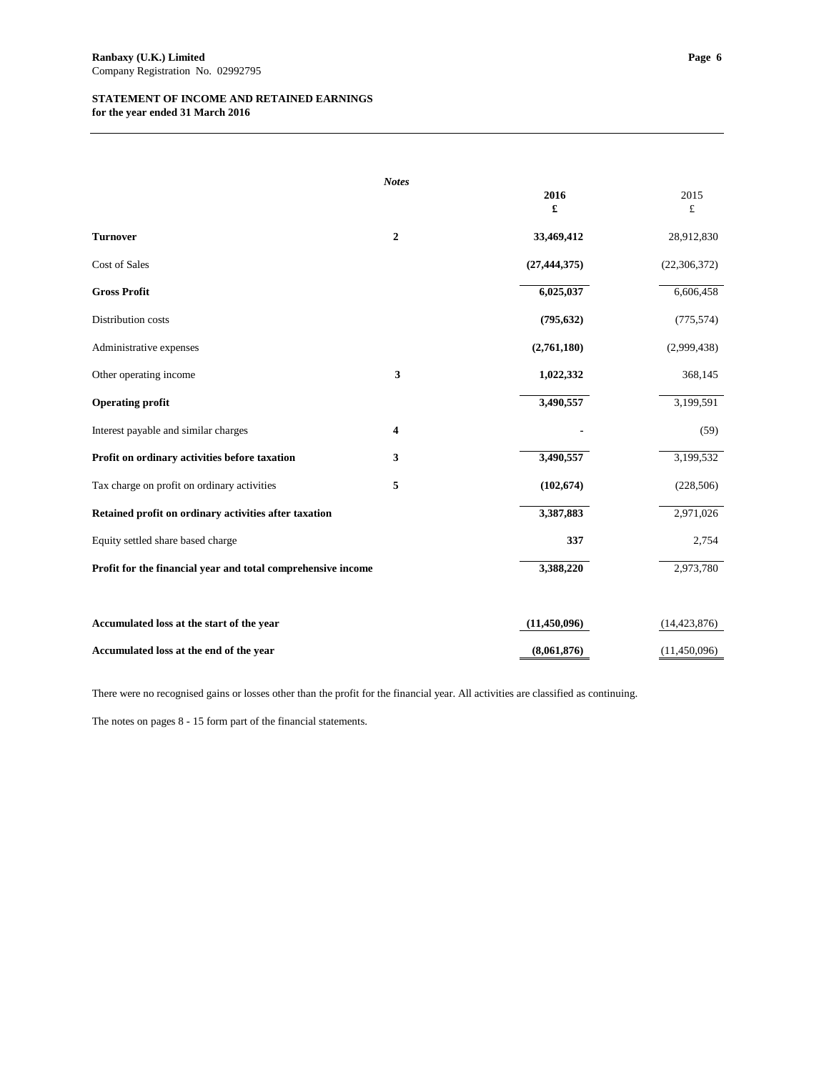# **STATEMENT OF INCOME AND RETAINED EARNINGS for the year ended 31 March 2016**

|                                                              | <b>Notes</b>     |                |                |
|--------------------------------------------------------------|------------------|----------------|----------------|
|                                                              |                  | 2016           | 2015           |
|                                                              |                  | £              | £              |
| <b>Turnover</b>                                              | $\boldsymbol{2}$ | 33,469,412     | 28,912,830     |
| <b>Cost of Sales</b>                                         |                  | (27, 444, 375) | (22, 306, 372) |
| <b>Gross Profit</b>                                          |                  | 6,025,037      | 6,606,458      |
| Distribution costs                                           |                  | (795, 632)     | (775, 574)     |
| Administrative expenses                                      |                  | (2,761,180)    | (2,999,438)    |
| Other operating income                                       | 3                | 1,022,332      | 368,145        |
| <b>Operating profit</b>                                      |                  | 3,490,557      | 3,199,591      |
| Interest payable and similar charges                         | 4                |                | (59)           |
| Profit on ordinary activities before taxation                | 3                | 3,490,557      | 3,199,532      |
| Tax charge on profit on ordinary activities                  | 5                | (102, 674)     | (228, 506)     |
| Retained profit on ordinary activities after taxation        |                  | 3,387,883      | 2,971,026      |
| Equity settled share based charge                            |                  | 337            | 2,754          |
| Profit for the financial year and total comprehensive income |                  | 3,388,220      | 2,973,780      |
|                                                              |                  |                |                |
| Accumulated loss at the start of the year                    |                  | (11,450,096)   | (14, 423, 876) |
| Accumulated loss at the end of the year                      |                  | (8,061,876)    | (11, 450, 096) |

There were no recognised gains or losses other than the profit for the financial year. All activities are classified as continuing.

The notes on pages 8 - 15 form part of the financial statements.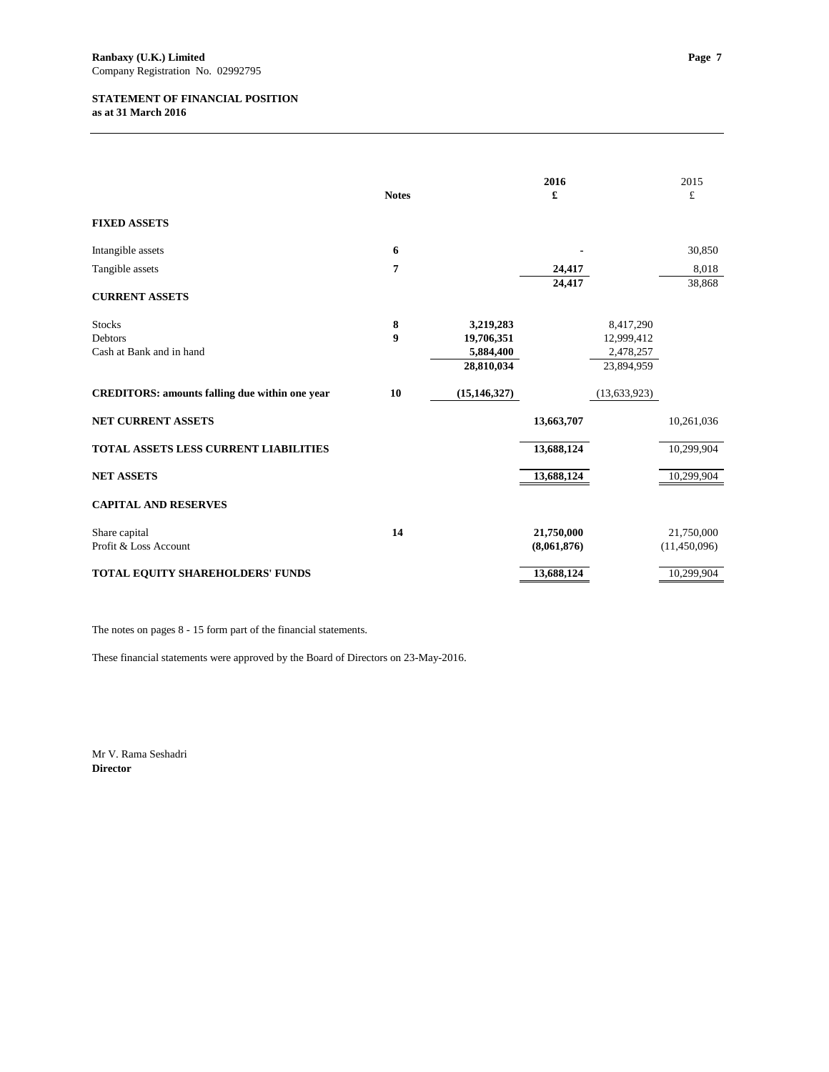# **STATEMENT OF FINANCIAL POSITION as at 31 March 2016**

|                                                       | <b>Notes</b>     |                | 2016<br>£   |                | 2015<br>£    |
|-------------------------------------------------------|------------------|----------------|-------------|----------------|--------------|
| <b>FIXED ASSETS</b>                                   |                  |                |             |                |              |
| Intangible assets                                     | 6                |                |             |                | 30,850       |
| Tangible assets                                       | 7                |                | 24,417      |                | 8,018        |
| <b>CURRENT ASSETS</b>                                 |                  |                | 24,417      |                | 38,868       |
| <b>Stocks</b>                                         | 8                | 3,219,283      |             | 8,417,290      |              |
| <b>Debtors</b>                                        | $\boldsymbol{9}$ | 19,706,351     |             | 12,999,412     |              |
| Cash at Bank and in hand                              |                  | 5,884,400      |             | 2,478,257      |              |
|                                                       |                  | 28,810,034     |             | 23,894,959     |              |
| <b>CREDITORS: amounts falling due within one year</b> | 10               | (15, 146, 327) |             | (13, 633, 923) |              |
| <b>NET CURRENT ASSETS</b>                             |                  |                | 13,663,707  |                | 10,261,036   |
| <b>TOTAL ASSETS LESS CURRENT LIABILITIES</b>          |                  |                | 13,688,124  |                | 10,299,904   |
| <b>NET ASSETS</b>                                     |                  |                | 13,688,124  |                | 10,299,904   |
| <b>CAPITAL AND RESERVES</b>                           |                  |                |             |                |              |
| Share capital                                         | 14               |                | 21,750,000  |                | 21,750,000   |
| Profit & Loss Account                                 |                  |                | (8,061,876) |                | (11,450,096) |
| TOTAL EQUITY SHAREHOLDERS' FUNDS                      |                  |                | 13,688,124  |                | 10,299,904   |

The notes on pages 8 - 15 form part of the financial statements.

These financial statements were approved by the Board of Directors on 23-May-2016.

Mr V. Rama Seshadri **Director**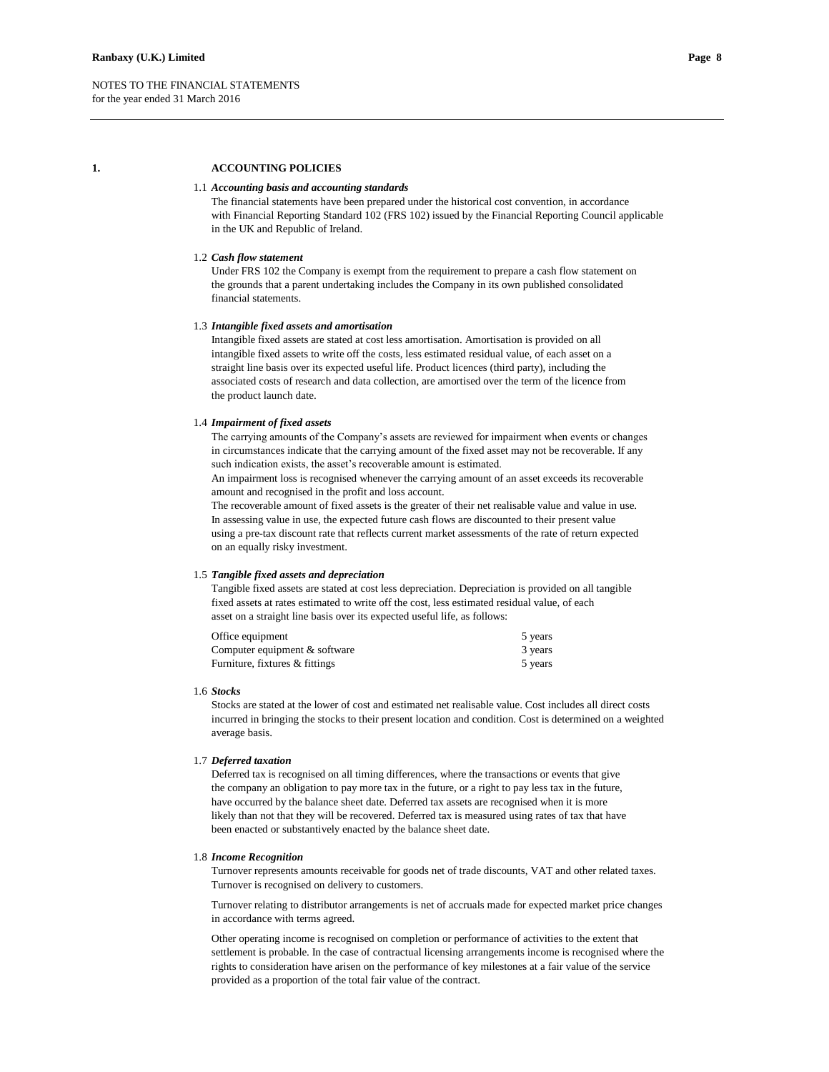#### **1. ACCOUNTING POLICIES**

#### 1.1 *Accounting basis and accounting standards*

The financial statements have been prepared under the historical cost convention, in accordance with Financial Reporting Standard 102 (FRS 102) issued by the Financial Reporting Council applicable in the UK and Republic of Ireland.

#### 1.2 *Cash flow statement*

Under FRS 102 the Company is exempt from the requirement to prepare a cash flow statement on the grounds that a parent undertaking includes the Company in its own published consolidated financial statements.

#### 1.3 *Intangible fixed assets and amortisation*

Intangible fixed assets are stated at cost less amortisation. Amortisation is provided on all intangible fixed assets to write off the costs, less estimated residual value, of each asset on a straight line basis over its expected useful life. Product licences (third party), including the associated costs of research and data collection, are amortised over the term of the licence from the product launch date.

#### 1.4 *Impairment of fixed assets*

The carrying amounts of the Company's assets are reviewed for impairment when events or changes in circumstances indicate that the carrying amount of the fixed asset may not be recoverable. If any such indication exists, the asset's recoverable amount is estimated.

An impairment loss is recognised whenever the carrying amount of an asset exceeds its recoverable amount and recognised in the profit and loss account.

The recoverable amount of fixed assets is the greater of their net realisable value and value in use. In assessing value in use, the expected future cash flows are discounted to their present value using a pre-tax discount rate that reflects current market assessments of the rate of return expected on an equally risky investment.

#### 1.5 *Tangible fixed assets and depreciation*

Tangible fixed assets are stated at cost less depreciation. Depreciation is provided on all tangible fixed assets at rates estimated to write off the cost, less estimated residual value, of each asset on a straight line basis over its expected useful life, as follows:

| Office equipment               | 5 years |
|--------------------------------|---------|
| Computer equipment & software  | 3 years |
| Furniture, fixtures & fittings | 5 years |

# 1.6 *Stocks*

Stocks are stated at the lower of cost and estimated net realisable value. Cost includes all direct costs incurred in bringing the stocks to their present location and condition. Cost is determined on a weighted average basis.

## 1.7 *Deferred taxation*

Deferred tax is recognised on all timing differences, where the transactions or events that give the company an obligation to pay more tax in the future, or a right to pay less tax in the future, have occurred by the balance sheet date. Deferred tax assets are recognised when it is more likely than not that they will be recovered. Deferred tax is measured using rates of tax that have been enacted or substantively enacted by the balance sheet date.

#### 1.8 *Income Recognition*

Turnover represents amounts receivable for goods net of trade discounts, VAT and other related taxes. Turnover is recognised on delivery to customers.

Turnover relating to distributor arrangements is net of accruals made for expected market price changes in accordance with terms agreed.

Other operating income is recognised on completion or performance of activities to the extent that settlement is probable. In the case of contractual licensing arrangements income is recognised where the rights to consideration have arisen on the performance of key milestones at a fair value of the service provided as a proportion of the total fair value of the contract.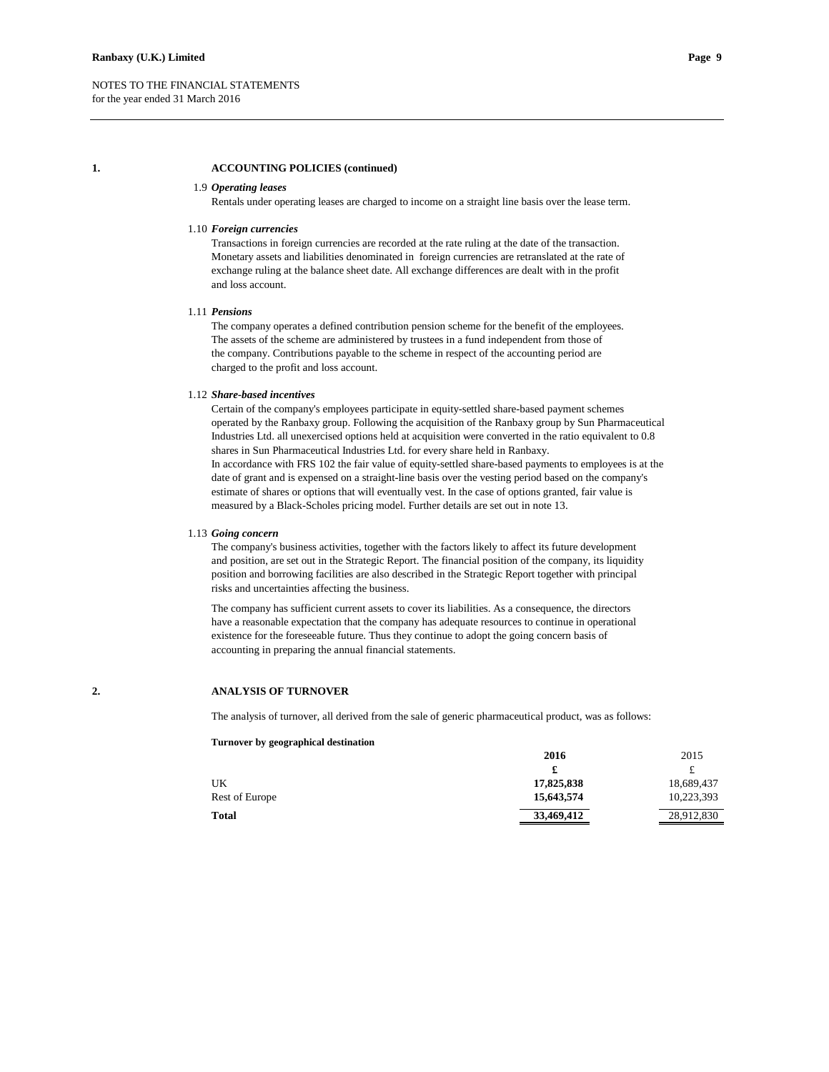## **1. ACCOUNTING POLICIES (continued)**

#### 1.9 *Operating leases*

Rentals under operating leases are charged to income on a straight line basis over the lease term.

## 1.10 *Foreign currencies*

Transactions in foreign currencies are recorded at the rate ruling at the date of the transaction. Monetary assets and liabilities denominated in foreign currencies are retranslated at the rate of exchange ruling at the balance sheet date. All exchange differences are dealt with in the profit and loss account.

## 1.11 *Pensions*

The company operates a defined contribution pension scheme for the benefit of the employees. The assets of the scheme are administered by trustees in a fund independent from those of the company. Contributions payable to the scheme in respect of the accounting period are charged to the profit and loss account.

#### 1.12 *Share-based incentives*

Certain of the company's employees participate in equity-settled share-based payment schemes operated by the Ranbaxy group. Following the acquisition of the Ranbaxy group by Sun Pharmaceutical Industries Ltd. all unexercised options held at acquisition were converted in the ratio equivalent to 0.8 shares in Sun Pharmaceutical Industries Ltd. for every share held in Ranbaxy. In accordance with FRS 102 the fair value of equity-settled share-based payments to employees is at the date of grant and is expensed on a straight-line basis over the vesting period based on the company's estimate of shares or options that will eventually vest. In the case of options granted, fair value is measured by a Black-Scholes pricing model. Further details are set out in note 13.

# 1.13 *Going concern*

The company's business activities, together with the factors likely to affect its future development and position, are set out in the Strategic Report. The financial position of the company, its liquidity position and borrowing facilities are also described in the Strategic Report together with principal risks and uncertainties affecting the business.

The company has sufficient current assets to cover its liabilities. As a consequence, the directors have a reasonable expectation that the company has adequate resources to continue in operational existence for the foreseeable future. Thus they continue to adopt the going concern basis of accounting in preparing the annual financial statements.

# **2. ANALYSIS OF TURNOVER**

The analysis of turnover, all derived from the sale of generic pharmaceutical product, was as follows:

#### **Turnover by geographical destination**

|                | 2016       | 2015       |
|----------------|------------|------------|
|                | £          | f          |
| UK             | 17,825,838 | 18,689,437 |
| Rest of Europe | 15,643,574 | 10,223,393 |
| Total          | 33,469,412 | 28,912,830 |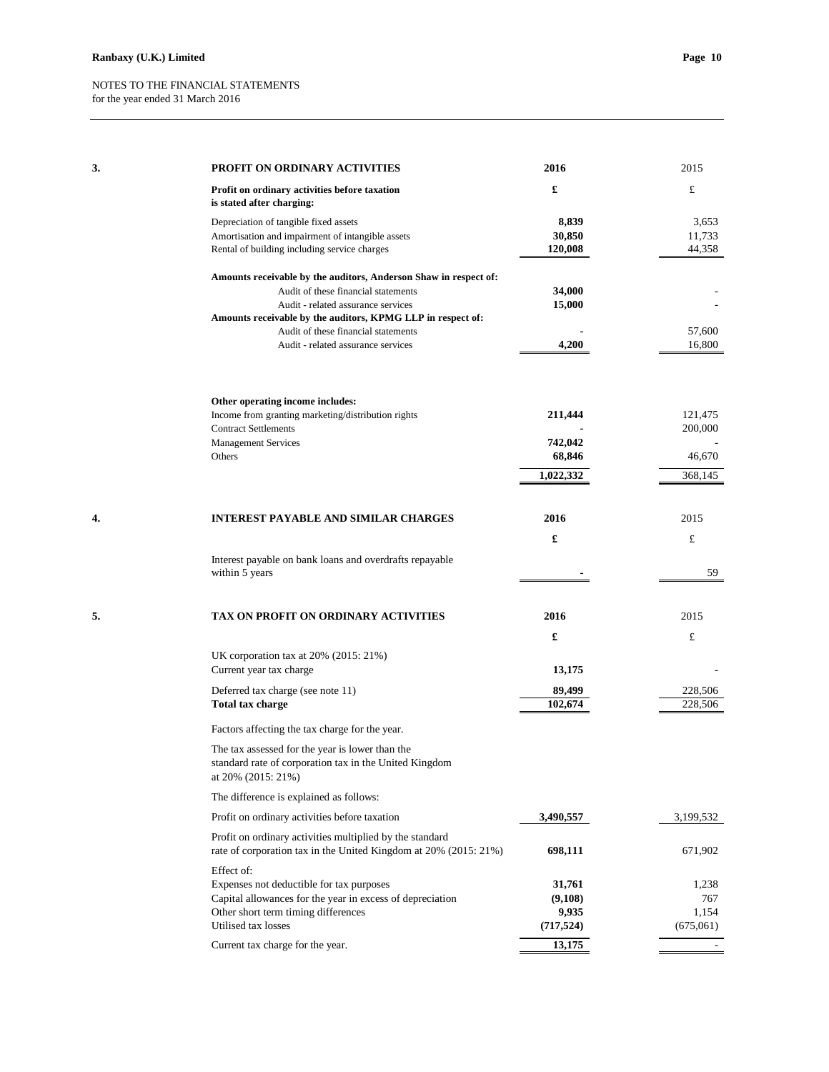# **Ranbaxy (U.K.) Limited Page 10**

# NOTES TO THE FINANCIAL STATEMENTS for the year ended 31 March 2016

| 3. | PROFIT ON ORDINARY ACTIVITIES                                                                                                   | 2016                | 2015               |
|----|---------------------------------------------------------------------------------------------------------------------------------|---------------------|--------------------|
|    | Profit on ordinary activities before taxation<br>is stated after charging:                                                      | £                   | £                  |
|    | Depreciation of tangible fixed assets                                                                                           | 8,839               | 3.653              |
|    | Amortisation and impairment of intangible assets<br>Rental of building including service charges                                | 30,850<br>120,008   | 11,733<br>44,358   |
|    | Amounts receivable by the auditors, Anderson Shaw in respect of:                                                                |                     |                    |
|    | Audit of these financial statements                                                                                             | 34,000              |                    |
|    | Audit - related assurance services                                                                                              | 15,000              |                    |
|    | Amounts receivable by the auditors, KPMG LLP in respect of:<br>Audit of these financial statements                              |                     | 57,600             |
|    | Audit - related assurance services                                                                                              | 4,200               | 16,800             |
|    |                                                                                                                                 |                     |                    |
|    | Other operating income includes:                                                                                                |                     |                    |
|    | Income from granting marketing/distribution rights<br><b>Contract Settlements</b>                                               | 211,444             | 121,475<br>200,000 |
|    | <b>Management Services</b>                                                                                                      | 742,042             |                    |
|    | Others                                                                                                                          | 68,846              | 46,670             |
|    |                                                                                                                                 | 1,022,332           | 368,145            |
|    |                                                                                                                                 |                     |                    |
| 4. | <b>INTEREST PAYABLE AND SIMILAR CHARGES</b>                                                                                     | 2016                | 2015               |
|    |                                                                                                                                 | £                   | $\pounds$          |
|    | Interest payable on bank loans and overdrafts repayable<br>within 5 years                                                       |                     | 59                 |
| 5. | TAX ON PROFIT ON ORDINARY ACTIVITIES                                                                                            | 2016                | 2015               |
|    |                                                                                                                                 | £                   | £                  |
|    | UK corporation tax at 20% (2015: 21%)                                                                                           |                     |                    |
|    | Current year tax charge                                                                                                         | 13,175              |                    |
|    | Deferred tax charge (see note 11)                                                                                               | 89,499              |                    |
|    | Total tax charge                                                                                                                | 102,674             | 228,506<br>228,506 |
|    |                                                                                                                                 |                     |                    |
|    | Factors affecting the tax charge for the year.                                                                                  |                     |                    |
|    | The tax assessed for the year is lower than the<br>standard rate of corporation tax in the United Kingdom<br>at 20% (2015: 21%) |                     |                    |
|    | The difference is explained as follows:                                                                                         |                     |                    |
|    | Profit on ordinary activities before taxation                                                                                   | 3,490,557           | 3,199,532          |
|    | Profit on ordinary activities multiplied by the standard<br>rate of corporation tax in the United Kingdom at 20% (2015: 21%)    | 698,111             | 671,902            |
|    | Effect of:                                                                                                                      |                     |                    |
|    | Expenses not deductible for tax purposes                                                                                        | 31,761              | 1,238              |
|    | Capital allowances for the year in excess of depreciation                                                                       | (9,108)             | 767                |
|    | Other short term timing differences<br>Utilised tax losses                                                                      | 9,935<br>(717, 524) | 1,154<br>(675,061) |
|    |                                                                                                                                 |                     |                    |
|    | Current tax charge for the year.                                                                                                | 13,175              |                    |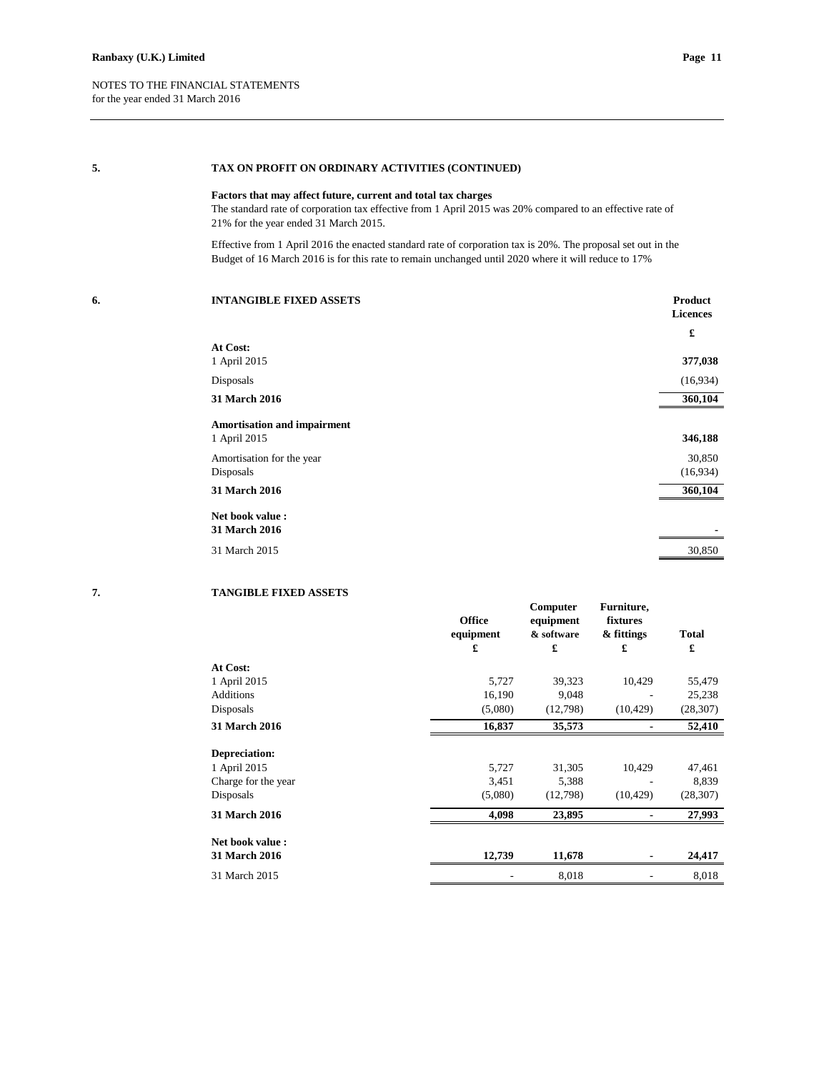# **5. TAX ON PROFIT ON ORDINARY ACTIVITIES (CONTINUED)**

# **Factors that may affect future, current and total tax charges**

The standard rate of corporation tax effective from 1 April 2015 was 20% compared to an effective rate of 21% for the year ended 31 March 2015.

Effective from 1 April 2016 the enacted standard rate of corporation tax is 20%. The proposal set out in the Budget of 16 March 2016 is for this rate to remain unchanged until 2020 where it will reduce to 17%

# **6. INTANGIBLE FIXED ASSETS Product**

|                                    | <b>Licences</b> |
|------------------------------------|-----------------|
|                                    | £               |
| At Cost:                           |                 |
| 1 April 2015                       | 377,038         |
| Disposals                          | (16,934)        |
| 31 March 2016                      | 360,104         |
| <b>Amortisation and impairment</b> |                 |
| 1 April 2015                       | 346,188         |
| Amortisation for the year          | 30,850          |
| Disposals                          | (16,934)        |
| 31 March 2016                      | 360,104         |
| Net book value:<br>31 March 2016   |                 |
|                                    |                 |
| 31 March 2015                      | 30,850          |

# **7. TANGIBLE FIXED ASSETS**

|                      | <b>Office</b><br>equipment<br>£ | Computer<br>equipment<br>& software<br>£ | Furniture,<br>fixtures<br>& fittings<br>£ | <b>Total</b><br>£ |
|----------------------|---------------------------------|------------------------------------------|-------------------------------------------|-------------------|
| At Cost:             |                                 |                                          |                                           |                   |
| 1 April 2015         | 5,727                           | 39,323                                   | 10,429                                    | 55,479            |
| Additions            | 16,190                          | 9,048                                    |                                           | 25,238            |
| Disposals            | (5,080)                         | (12,798)                                 | (10, 429)                                 | (28, 307)         |
| 31 March 2016        | 16,837                          | 35,573                                   |                                           | 52,410            |
| Depreciation:        |                                 |                                          |                                           |                   |
| 1 April 2015         | 5,727                           | 31,305                                   | 10,429                                    | 47,461            |
| Charge for the year  | 3,451                           | 5,388                                    |                                           | 8,839             |
| Disposals            | (5,080)                         | (12,798)                                 | (10, 429)                                 | (28, 307)         |
| 31 March 2016        | 4,098                           | 23,895                                   |                                           | 27,993            |
| Net book value:      |                                 |                                          |                                           |                   |
| <b>31 March 2016</b> | 12,739                          | 11,678                                   |                                           | 24,417            |
| 31 March 2015        |                                 | 8,018                                    |                                           | 8,018             |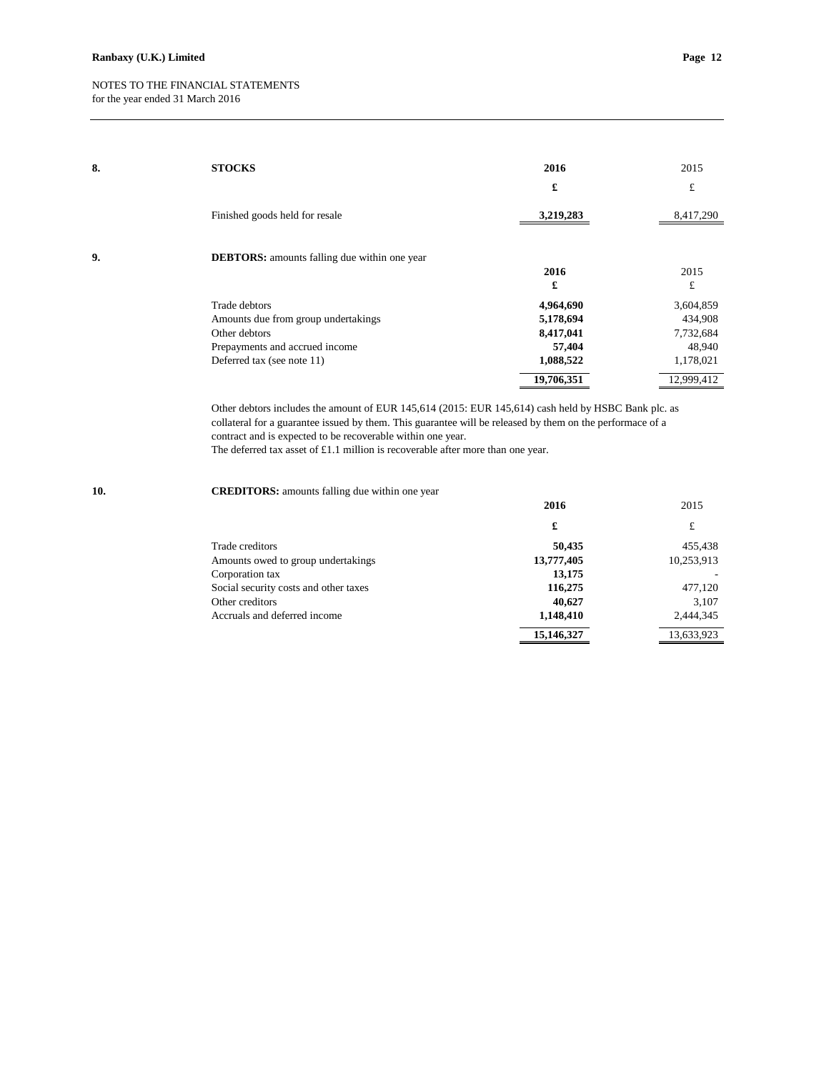# NOTES TO THE FINANCIAL STATEMENTS for the year ended 31 March 2016

| 8. | <b>STOCKS</b>                                       | 2016       | 2015       |
|----|-----------------------------------------------------|------------|------------|
|    |                                                     | £          | £          |
|    | Finished goods held for resale                      | 3,219,283  | 8,417,290  |
| 9. | <b>DEBTORS:</b> amounts falling due within one year |            |            |
|    |                                                     | 2016       | 2015       |
|    |                                                     | £          | £          |
|    | Trade debtors                                       | 4,964,690  | 3,604,859  |
|    | Amounts due from group undertakings                 | 5,178,694  | 434,908    |
|    | Other debtors                                       | 8,417,041  | 7,732,684  |
|    | Prepayments and accrued income                      | 57,404     | 48,940     |
|    | Deferred tax (see note 11)                          | 1,088,522  | 1,178,021  |
|    |                                                     | 19,706,351 | 12.999.412 |
|    |                                                     |            |            |

Other debtors includes the amount of EUR 145,614 (2015: EUR 145,614) cash held by HSBC Bank plc. as collateral for a guarantee issued by them. This guarantee will be released by them on the performace of a contract and is expected to be recoverable within one year.

The deferred tax asset of £1.1 million is recoverable after more than one year.

**10. CREDITORS:** amounts falling due within one year

|                                       | 2016       | 2015       |
|---------------------------------------|------------|------------|
|                                       | £          | £          |
| Trade creditors                       | 50,435     | 455,438    |
| Amounts owed to group undertakings    | 13,777,405 | 10,253,913 |
| Corporation tax                       | 13,175     |            |
| Social security costs and other taxes | 116,275    | 477,120    |
| Other creditors                       | 40,627     | 3,107      |
| Accruals and deferred income          | 1,148,410  | 2.444.345  |
|                                       | 15,146,327 | 13,633,923 |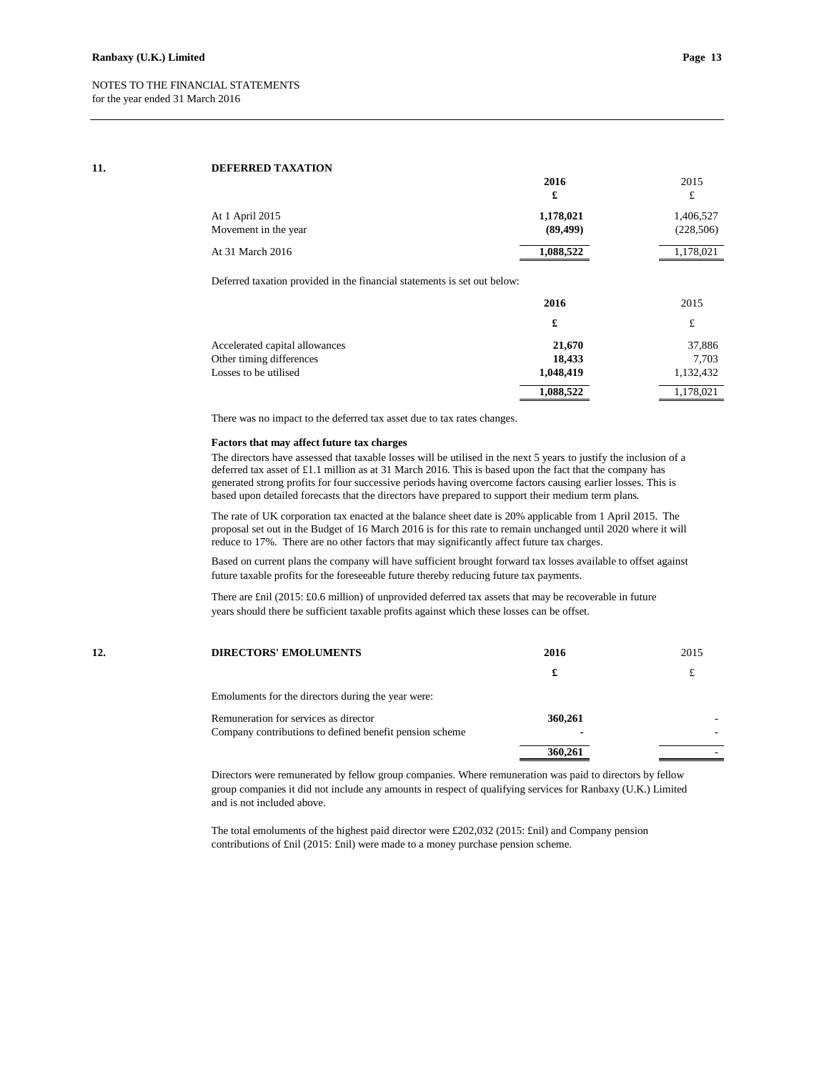NOTES TO THE FINANCIAL STATEMENTS for the year ended 31 March 2016

#### **11. DEFERRED TAXATION**

|                      | 2016      | 2015       |
|----------------------|-----------|------------|
|                      | £         | £          |
| At 1 April 2015      | 1,178,021 | 1,406,527  |
| Movement in the year | (89, 499) | (228, 506) |
| At 31 March 2016     | 1,088,522 | 1,178,021  |

Deferred taxation provided in the financial statements is set out below:

|                                | 2016      | 2015      |
|--------------------------------|-----------|-----------|
|                                | £         | £         |
| Accelerated capital allowances | 21,670    | 37,886    |
| Other timing differences       | 18,433    | 7,703     |
| Losses to be utilised          | 1,048,419 | 1,132,432 |
|                                | 1,088,522 | 1,178,021 |

There was no impact to the deferred tax asset due to tax rates changes.

#### **Factors that may affect future tax charges**

The directors have assessed that taxable losses will be utilised in the next 5 years to justify the inclusion of a deferred tax asset of £1.1 million as at 31 March 2016. This is based upon the fact that the company has generated strong profits for four successive periods having overcome factors causing earlier losses. This is based upon detailed forecasts that the directors have prepared to support their medium term plans.

The rate of UK corporation tax enacted at the balance sheet date is 20% applicable from 1 April 2015. The proposal set out in the Budget of 16 March 2016 is for this rate to remain unchanged until 2020 where it will reduce to 17%. There are no other factors that may significantly affect future tax charges.

Based on current plans the company will have sufficient brought forward tax losses available to offset against future taxable profits for the foreseeable future thereby reducing future tax payments.

There are £nil (2015: £0.6 million) of unprovided deferred tax assets that may be recoverable in future years should there be sufficient taxable profits against which these losses can be offset.

| 12. | <b>DIRECTORS' EMOLUMENTS</b>                            | 2016    | 2015 |
|-----|---------------------------------------------------------|---------|------|
|     |                                                         | £       |      |
|     | Emoluments for the directors during the year were:      |         |      |
|     | Remuneration for services as director                   | 360,261 |      |
|     | Company contributions to defined benefit pension scheme |         |      |
|     |                                                         | 360,261 |      |

Directors were remunerated by fellow group companies. Where remuneration was paid to directors by fellow group companies it did not include any amounts in respect of qualifying services for Ranbaxy (U.K.) Limited and is not included above.

The total emoluments of the highest paid director were £202,032 (2015: £nil) and Company pension contributions of £nil (2015: £nil) were made to a money purchase pension scheme.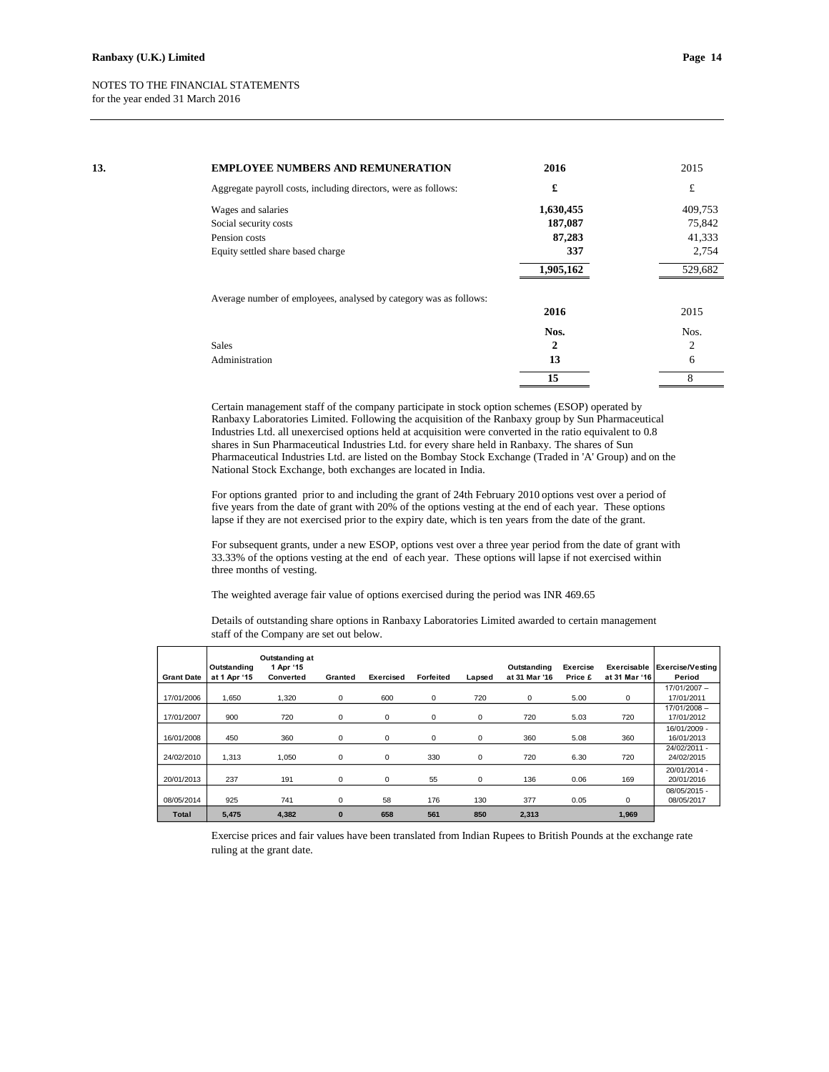## **Ranbaxy (U.K.) Limited Page 14**

NOTES TO THE FINANCIAL STATEMENTS for the year ended 31 March 2016

| <b>EMPLOYEE NUMBERS AND REMUNERATION</b>                          | 2016         | 2015    |
|-------------------------------------------------------------------|--------------|---------|
| Aggregate payroll costs, including directors, were as follows:    | £            | £       |
| Wages and salaries                                                | 1,630,455    | 409,753 |
| Social security costs                                             | 187,087      | 75,842  |
| Pension costs                                                     | 87,283       | 41,333  |
| Equity settled share based charge                                 | 337          | 2,754   |
|                                                                   | 1,905,162    | 529,682 |
| Average number of employees, analysed by category was as follows: |              |         |
|                                                                   | 2016         | 2015    |
|                                                                   | Nos.         | Nos.    |
| Sales                                                             | $\mathbf{2}$ | 2       |
| Administration                                                    | 13           | 6       |
|                                                                   | 15           |         |
|                                                                   |              |         |

Certain management staff of the company participate in stock option schemes (ESOP) operated by Ranbaxy Laboratories Limited. Following the acquisition of the Ranbaxy group by Sun Pharmaceutical Industries Ltd. all unexercised options held at acquisition were converted in the ratio equivalent to 0.8 shares in Sun Pharmaceutical Industries Ltd. for every share held in Ranbaxy. The shares of Sun Pharmaceutical Industries Ltd. are listed on the Bombay Stock Exchange (Traded in 'A' Group) and on the National Stock Exchange, both exchanges are located in India.

For options granted prior to and including the grant of 24th February 2010 options vest over a period of five years from the date of grant with 20% of the options vesting at the end of each year. These options lapse if they are not exercised prior to the expiry date, which is ten years from the date of the grant.

For subsequent grants, under a new ESOP, options vest over a three year period from the date of grant with 33.33% of the options vesting at the end of each year. These options will lapse if not exercised within three months of vesting.

The weighted average fair value of options exercised during the period was INR 469.65

Details of outstanding share options in Ranbaxy Laboratories Limited awarded to certain management staff of the Company are set out below.

| <b>Grant Date</b> | Outstanding<br>at 1 Apr '15 | Outstanding at<br>1 Apr '15<br>Converted | Granted     | Exercised | Forfeited   | Lapsed      | Outstanding<br>at 31 Mar '16 | Exercise<br>Price £ | Exercisable<br>at 31 Mar '16 | Exercise/Vesting<br>Period |
|-------------------|-----------------------------|------------------------------------------|-------------|-----------|-------------|-------------|------------------------------|---------------------|------------------------------|----------------------------|
| 17/01/2006        | 1.650                       | 1,320                                    | $\mathbf 0$ | 600       | $\mathbf 0$ | 720         | 0                            | 5.00                | 0                            | 17/01/2007 -<br>17/01/2011 |
|                   |                             |                                          |             |           |             |             |                              |                     |                              | 17/01/2008 -               |
| 17/01/2007        | 900                         | 720                                      | $\mathbf 0$ | 0         | 0           | $\mathbf 0$ | 720                          | 5.03                | 720                          | 17/01/2012<br>16/01/2009 - |
| 16/01/2008        | 450                         | 360                                      | 0           | 0         | 0           | 0           | 360                          | 5.08                | 360                          | 16/01/2013                 |
| 24/02/2010        | 1.313                       | 1,050                                    | $\mathbf 0$ | 0         | 330         | $\mathbf 0$ | 720                          | 6.30                | 720                          | 24/02/2011 -<br>24/02/2015 |
| 20/01/2013        | 237                         | 191                                      | $\mathbf 0$ | 0         | 55          | $\mathbf 0$ | 136                          | 0.06                | 169                          | 20/01/2014 -<br>20/01/2016 |
| 08/05/2014        | 925                         | 741                                      | 0           | 58        | 176         | 130         | 377                          | 0.05                | 0                            | 08/05/2015 -<br>08/05/2017 |
| <b>Total</b>      | 5,475                       | 4,382                                    | $\bf{0}$    | 658       | 561         | 850         | 2,313                        |                     | 1,969                        |                            |

Exercise prices and fair values have been translated from Indian Rupees to British Pounds at the exchange rate ruling at the grant date.